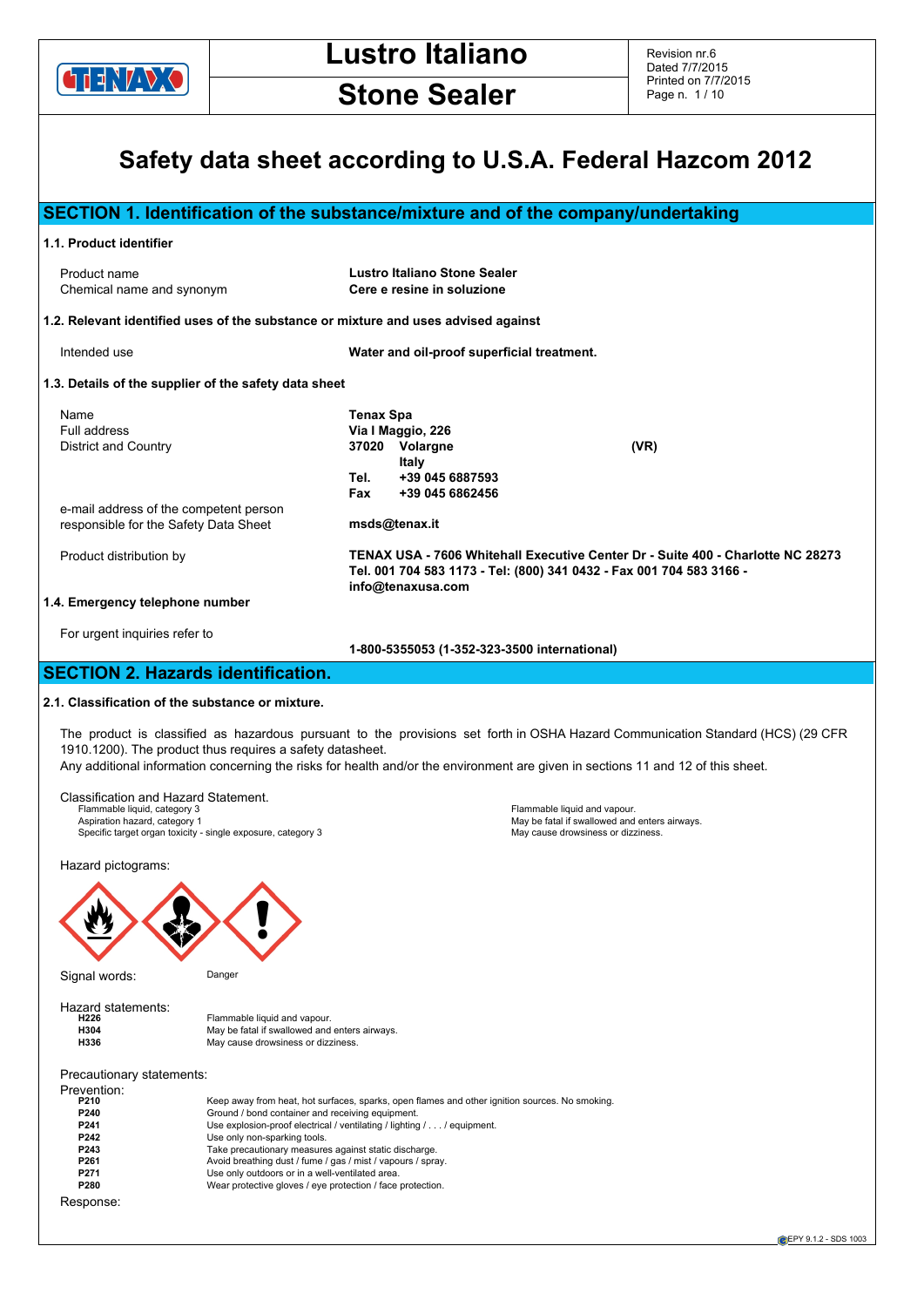

# **Stone Sealer**

# **Safety data sheet according to U.S.A. Federal Hazcom 2012**

|                                                                                                                                 | SECTION 1. Identification of the substance/mixture and of the company/undertaking                                                                                            |
|---------------------------------------------------------------------------------------------------------------------------------|------------------------------------------------------------------------------------------------------------------------------------------------------------------------------|
| 1.1. Product identifier                                                                                                         |                                                                                                                                                                              |
| Product name<br>Chemical name and synonym                                                                                       | Lustro Italiano Stone Sealer<br>Cere e resine in soluzione                                                                                                                   |
| 1.2. Relevant identified uses of the substance or mixture and uses advised against                                              |                                                                                                                                                                              |
| Intended use                                                                                                                    | Water and oil-proof superficial treatment.                                                                                                                                   |
| 1.3. Details of the supplier of the safety data sheet                                                                           |                                                                                                                                                                              |
| Name<br>Full address<br>District and Country<br>e-mail address of the competent person<br>responsible for the Safety Data Sheet | <b>Tenax Spa</b><br>Via I Maggio, 226<br>(VR)<br>37020 Volargne<br>Italy<br>+39 045 6887593<br>Tel.<br>+39 045 6862456<br>Fax<br>msds@tenax.it                               |
| Product distribution by                                                                                                         | TENAX USA - 7606 Whitehall Executive Center Dr - Suite 400 - Charlotte NC 28273<br>Tel. 001 704 583 1173 - Tel: (800) 341 0432 - Fax 001 704 583 3166 -<br>info@tenaxusa.com |
| 1.4. Emergency telephone number                                                                                                 |                                                                                                                                                                              |
| For urgent inquiries refer to                                                                                                   | 1-800-5355053 (1-352-323-3500 international)                                                                                                                                 |
| <b>SECTION 2. Hazards identification.</b>                                                                                       |                                                                                                                                                                              |
| 2.1. Classification of the substance or mixture.                                                                                |                                                                                                                                                                              |
| 1910.1200). The product thus requires a safety datasheet.                                                                       | The product is classified as hazardous pursuant to the provisions set forth in OSHA Hazard Communication Standard (HCS) (29 CFR                                              |

Any additional information concerning the risks for health and/or the environment are given in sections 11 and 12 of this sheet.

Classification and Hazard Statement. Flammable liquid, category 3<br>Aspiration hazard, category 1<br>Specific target organization of the same of the same of the same of the same of the same of the same of the sa<br>Specific target organization of the same of the same

Hazard pictograms:



Signal words: Danger

| Hazard statements: |                                               |
|--------------------|-----------------------------------------------|
| H226               | Flammable liquid and vapour.                  |
| <b>H304</b>        | May be fatal if swallowed and enters airways. |
| H336               | May cause drowsiness or dizziness.            |

Precautionary statements:<br>Prevention:

| Prevention: |                                                                                                |
|-------------|------------------------------------------------------------------------------------------------|
| P210        | Keep away from heat, hot surfaces, sparks, open flames and other ignition sources. No smoking. |
| P240        | Ground / bond container and receiving equipment.                                               |
| P241        | Use explosion-proof electrical / ventilating / lighting / / equipment.                         |
| P242        | Use only non-sparking tools.                                                                   |
| P243        | Take precautionary measures against static discharge.                                          |
| P261        | Avoid breathing dust / fume / gas / mist / vapours / spray.                                    |
| P271        | Use only outdoors or in a well-ventilated area.                                                |
| P280        | Wear protective gloves / eye protection / face protection.                                     |
| Response:   |                                                                                                |

**EPY 9.1.2 - SDS 1003**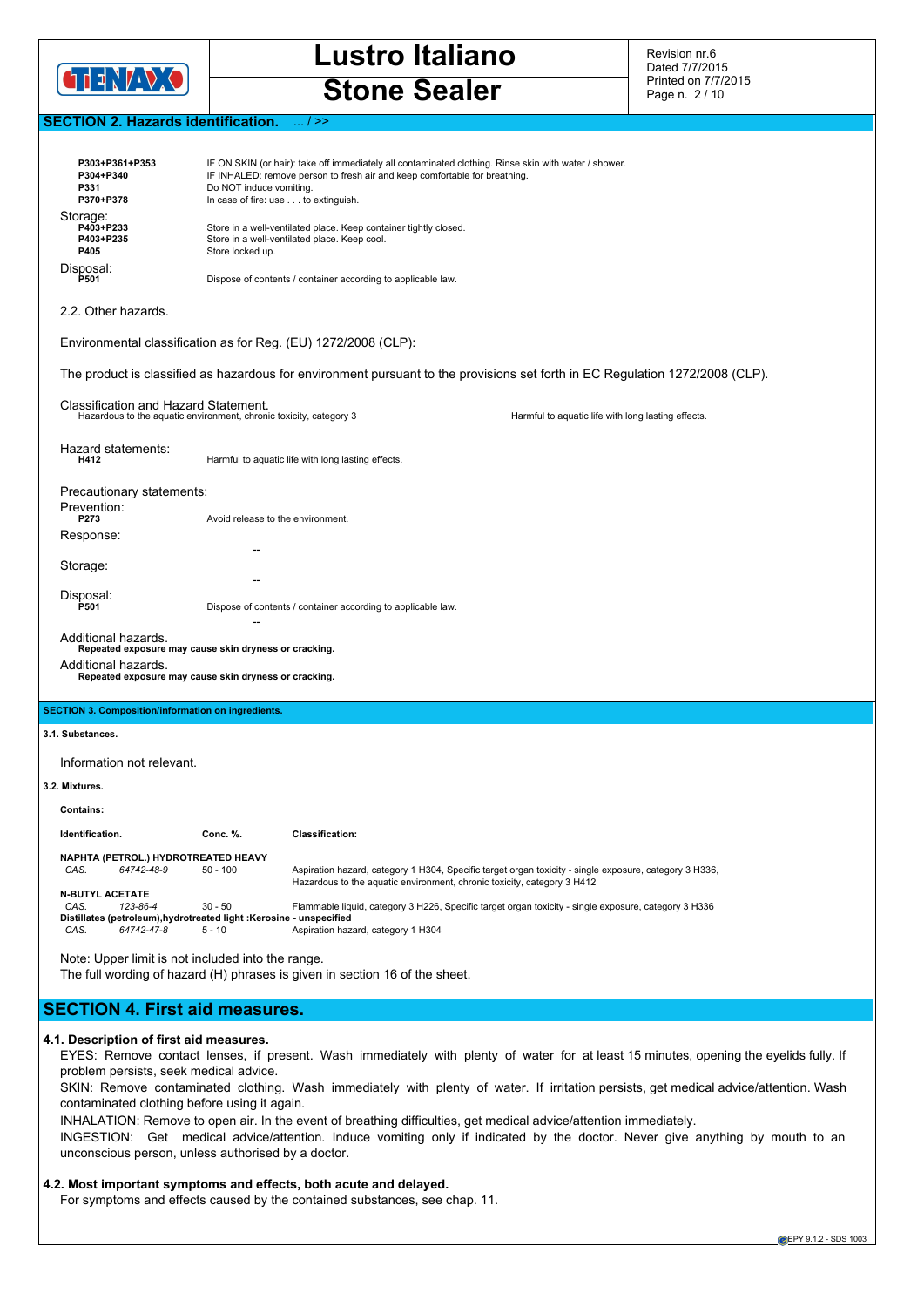

Revision nr.6 Dated 7/7/2015 Printed on 7/7/2015 Page n. 2 / 10

# **SECTION 2. Hazards identification.** ... / >>

| P303+P361+P353<br>P304+P340<br>P331<br>P370+P378                                                                                                                                        | Do NOT induce vomiting.<br>In case of fire: use to extinguish. | IF ON SKIN (or hair): take off immediately all contaminated clothing. Rinse skin with water / shower.<br>IF INHALED: remove person to fresh air and keep comfortable for breathing. |                                                                                                                                                                                                                                                                                                                                                                                                                                                                                                                                     |  |
|-----------------------------------------------------------------------------------------------------------------------------------------------------------------------------------------|----------------------------------------------------------------|-------------------------------------------------------------------------------------------------------------------------------------------------------------------------------------|-------------------------------------------------------------------------------------------------------------------------------------------------------------------------------------------------------------------------------------------------------------------------------------------------------------------------------------------------------------------------------------------------------------------------------------------------------------------------------------------------------------------------------------|--|
| Storage:                                                                                                                                                                                |                                                                |                                                                                                                                                                                     |                                                                                                                                                                                                                                                                                                                                                                                                                                                                                                                                     |  |
| P403+P233<br>P403+P235<br>P405                                                                                                                                                          | Store locked up.                                               | Store in a well-ventilated place. Keep container tightly closed.<br>Store in a well-ventilated place. Keep cool.                                                                    |                                                                                                                                                                                                                                                                                                                                                                                                                                                                                                                                     |  |
| Disposal:<br>P501                                                                                                                                                                       |                                                                | Dispose of contents / container according to applicable law.                                                                                                                        |                                                                                                                                                                                                                                                                                                                                                                                                                                                                                                                                     |  |
| 2.2. Other hazards.                                                                                                                                                                     |                                                                |                                                                                                                                                                                     |                                                                                                                                                                                                                                                                                                                                                                                                                                                                                                                                     |  |
| Environmental classification as for Reg. (EU) 1272/2008 (CLP):                                                                                                                          |                                                                |                                                                                                                                                                                     |                                                                                                                                                                                                                                                                                                                                                                                                                                                                                                                                     |  |
|                                                                                                                                                                                         |                                                                |                                                                                                                                                                                     | The product is classified as hazardous for environment pursuant to the provisions set forth in EC Regulation 1272/2008 (CLP).                                                                                                                                                                                                                                                                                                                                                                                                       |  |
| Classification and Hazard Statement.<br>Hazardous to the aquatic environment, chronic toxicity, category 3                                                                              |                                                                |                                                                                                                                                                                     | Harmful to aquatic life with long lasting effects.                                                                                                                                                                                                                                                                                                                                                                                                                                                                                  |  |
| Hazard statements:<br>H412                                                                                                                                                              |                                                                | Harmful to aquatic life with long lasting effects.                                                                                                                                  |                                                                                                                                                                                                                                                                                                                                                                                                                                                                                                                                     |  |
| Precautionary statements:                                                                                                                                                               |                                                                |                                                                                                                                                                                     |                                                                                                                                                                                                                                                                                                                                                                                                                                                                                                                                     |  |
| Prevention:                                                                                                                                                                             |                                                                |                                                                                                                                                                                     |                                                                                                                                                                                                                                                                                                                                                                                                                                                                                                                                     |  |
| P273                                                                                                                                                                                    | Avoid release to the environment.                              |                                                                                                                                                                                     |                                                                                                                                                                                                                                                                                                                                                                                                                                                                                                                                     |  |
| Response:                                                                                                                                                                               |                                                                |                                                                                                                                                                                     |                                                                                                                                                                                                                                                                                                                                                                                                                                                                                                                                     |  |
| Storage:                                                                                                                                                                                |                                                                |                                                                                                                                                                                     |                                                                                                                                                                                                                                                                                                                                                                                                                                                                                                                                     |  |
| Disposal:<br>P501                                                                                                                                                                       |                                                                | Dispose of contents / container according to applicable law.                                                                                                                        |                                                                                                                                                                                                                                                                                                                                                                                                                                                                                                                                     |  |
| Additional hazards.                                                                                                                                                                     |                                                                |                                                                                                                                                                                     |                                                                                                                                                                                                                                                                                                                                                                                                                                                                                                                                     |  |
| Repeated exposure may cause skin dryness or cracking.                                                                                                                                   |                                                                |                                                                                                                                                                                     |                                                                                                                                                                                                                                                                                                                                                                                                                                                                                                                                     |  |
| Additional hazards.                                                                                                                                                                     |                                                                |                                                                                                                                                                                     |                                                                                                                                                                                                                                                                                                                                                                                                                                                                                                                                     |  |
| Repeated exposure may cause skin dryness or cracking.                                                                                                                                   |                                                                |                                                                                                                                                                                     |                                                                                                                                                                                                                                                                                                                                                                                                                                                                                                                                     |  |
| <b>SECTION 3. Composition/information on ingredients.</b>                                                                                                                               |                                                                |                                                                                                                                                                                     |                                                                                                                                                                                                                                                                                                                                                                                                                                                                                                                                     |  |
| 3.1. Substances.                                                                                                                                                                        |                                                                |                                                                                                                                                                                     |                                                                                                                                                                                                                                                                                                                                                                                                                                                                                                                                     |  |
|                                                                                                                                                                                         |                                                                |                                                                                                                                                                                     |                                                                                                                                                                                                                                                                                                                                                                                                                                                                                                                                     |  |
| Information not relevant.                                                                                                                                                               |                                                                |                                                                                                                                                                                     |                                                                                                                                                                                                                                                                                                                                                                                                                                                                                                                                     |  |
| 3.2. Mixtures.<br><b>Contains:</b>                                                                                                                                                      |                                                                |                                                                                                                                                                                     |                                                                                                                                                                                                                                                                                                                                                                                                                                                                                                                                     |  |
|                                                                                                                                                                                         |                                                                |                                                                                                                                                                                     |                                                                                                                                                                                                                                                                                                                                                                                                                                                                                                                                     |  |
| Identification.                                                                                                                                                                         | Conc. %.                                                       | <b>Classification:</b>                                                                                                                                                              |                                                                                                                                                                                                                                                                                                                                                                                                                                                                                                                                     |  |
| NAPHTA (PETROL.) HYDROTREATED HEAVY<br>CAS.<br>64742-48-9                                                                                                                               | $50 - 100$                                                     |                                                                                                                                                                                     | Aspiration hazard, category 1 H304, Specific target organ toxicity - single exposure, category 3 H336,                                                                                                                                                                                                                                                                                                                                                                                                                              |  |
| <b>N-BUTYL ACETATE</b>                                                                                                                                                                  |                                                                | Hazardous to the aquatic environment, chronic toxicity, category 3 H412                                                                                                             |                                                                                                                                                                                                                                                                                                                                                                                                                                                                                                                                     |  |
| CAS.<br>123-86-4<br>Distillates (petroleum), hydrotreated light : Kerosine - unspecified<br>CAS.<br>64742-47-8                                                                          | $30 - 50$<br>$5 - 10$                                          | Aspiration hazard, category 1 H304                                                                                                                                                  | Flammable liquid, category 3 H226, Specific target organ toxicity - single exposure, category 3 H336                                                                                                                                                                                                                                                                                                                                                                                                                                |  |
| Note: Upper limit is not included into the range.                                                                                                                                       |                                                                | The full wording of hazard (H) phrases is given in section 16 of the sheet.                                                                                                         |                                                                                                                                                                                                                                                                                                                                                                                                                                                                                                                                     |  |
| <b>SECTION 4. First aid measures.</b>                                                                                                                                                   |                                                                |                                                                                                                                                                                     |                                                                                                                                                                                                                                                                                                                                                                                                                                                                                                                                     |  |
| 4.1. Description of first aid measures.<br>problem persists, seek medical advice.<br>contaminated clothing before using it again.<br>unconscious person, unless authorised by a doctor. |                                                                |                                                                                                                                                                                     | EYES: Remove contact lenses, if present. Wash immediately with plenty of water for at least 15 minutes, opening the eyelids fully. If<br>SKIN: Remove contaminated clothing. Wash immediately with plenty of water. If irritation persists, get medical advice/attention. Wash<br>INHALATION: Remove to open air. In the event of breathing difficulties, get medical advice/attention immediately.<br>INGESTION: Get medical advice/attention. Induce vomiting only if indicated by the doctor. Never give anything by mouth to an |  |

**4.2. Most important symptoms and effects, both acute and delayed.** For symptoms and effects caused by the contained substances, see chap. 11.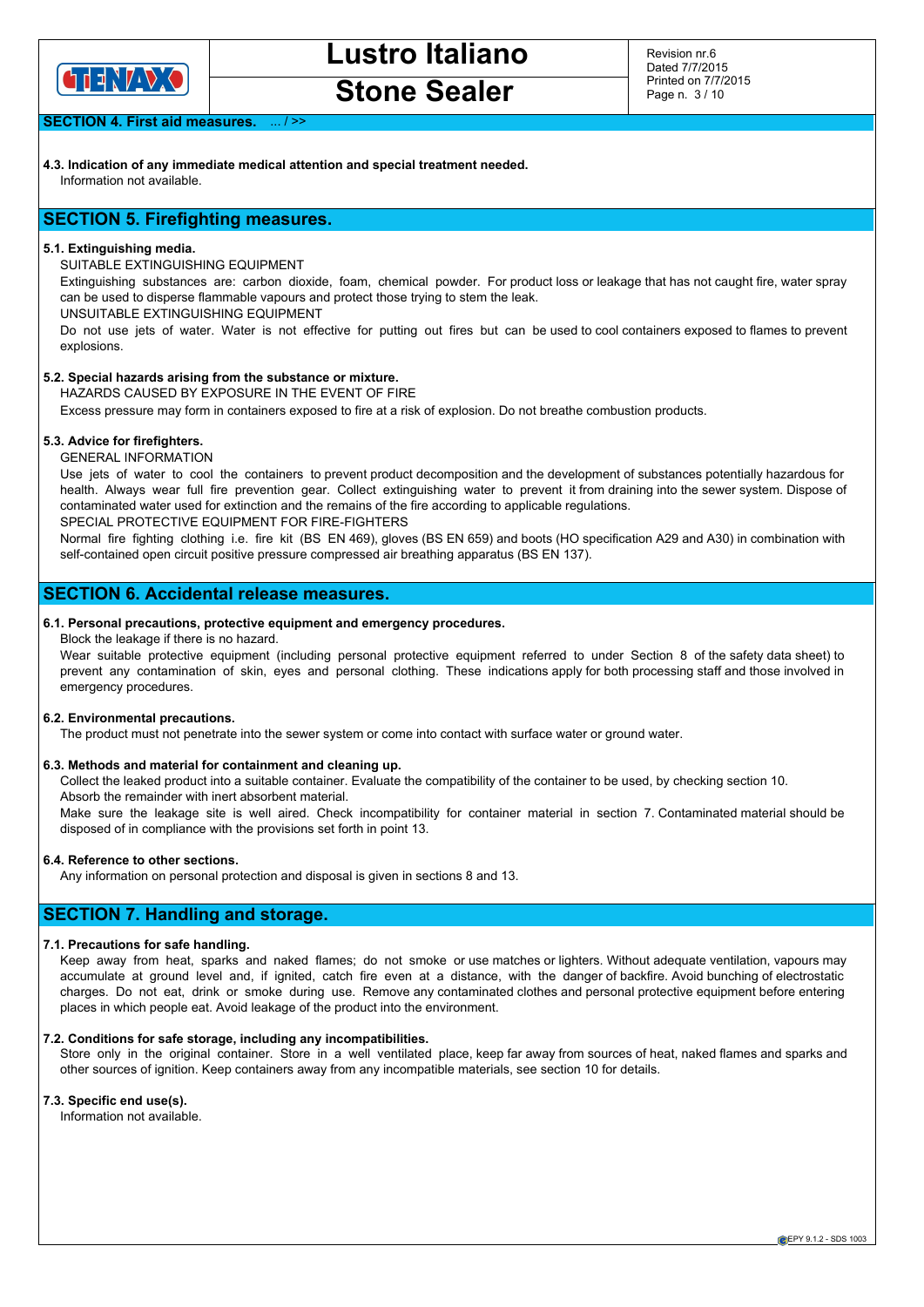

**Stone Sealer**

Revision nr.6 Dated 7/7/2015 Printed on 7/7/2015 Page n. 3 / 10

**SECTION 4. First aid measures.** 

**4.3. Indication of any immediate medical attention and special treatment needed.** Information not available.

# **SECTION 5. Firefighting measures.**

## **5.1. Extinguishing media.**

SUITABLE EXTINGUISHING EQUIPMENT

Extinguishing substances are: carbon dioxide, foam, chemical powder. For product loss or leakage that has not caught fire, water spray can be used to disperse flammable vapours and protect those trying to stem the leak.

UNSUITABLE EXTINGUISHING EQUIPMENT

Do not use jets of water. Water is not effective for putting out fires but can be used to cool containers exposed to flames to prevent explosions.

# **5.2. Special hazards arising from the substance or mixture.**

HAZARDS CAUSED BY EXPOSURE IN THE EVENT OF FIRE

Excess pressure may form in containers exposed to fire at a risk of explosion. Do not breathe combustion products.

# **5.3. Advice for firefighters.**

GENERAL INFORMATION

Use jets of water to cool the containers to prevent product decomposition and the development of substances potentially hazardous for health. Always wear full fire prevention gear. Collect extinguishing water to prevent it from draining into the sewer system. Dispose of contaminated water used for extinction and the remains of the fire according to applicable regulations. SPECIAL PROTECTIVE EQUIPMENT FOR FIRE-FIGHTERS

Normal fire fighting clothing i.e. fire kit (BS EN 469), gloves (BS EN 659) and boots (HO specification A29 and A30) in combination with self-contained open circuit positive pressure compressed air breathing apparatus (BS EN 137).

# **SECTION 6. Accidental release measures.**

# **6.1. Personal precautions, protective equipment and emergency procedures.**

#### Block the leakage if there is no hazard.

Wear suitable protective equipment (including personal protective equipment referred to under Section 8 of the safety data sheet) to prevent any contamination of skin, eyes and personal clothing. These indications apply for both processing staff and those involved in emergency procedures.

## **6.2. Environmental precautions.**

The product must not penetrate into the sewer system or come into contact with surface water or ground water.

#### **6.3. Methods and material for containment and cleaning up.**

Collect the leaked product into a suitable container. Evaluate the compatibility of the container to be used, by checking section 10. Absorb the remainder with inert absorbent material.

Make sure the leakage site is well aired. Check incompatibility for container material in section 7. Contaminated material should be

disposed of in compliance with the provisions set forth in point 13.

#### **6.4. Reference to other sections.**

Any information on personal protection and disposal is given in sections 8 and 13.

# **SECTION 7. Handling and storage.**

#### **7.1. Precautions for safe handling.**

Keep away from heat, sparks and naked flames; do not smoke or use matches or lighters. Without adequate ventilation, vapours may accumulate at ground level and, if ignited, catch fire even at a distance, with the danger of backfire. Avoid bunching of electrostatic charges. Do not eat, drink or smoke during use. Remove any contaminated clothes and personal protective equipment before entering places in which people eat. Avoid leakage of the product into the environment.

# **7.2. Conditions for safe storage, including any incompatibilities.**

Store only in the original container. Store in a well ventilated place, keep far away from sources of heat, naked flames and sparks and other sources of ignition. Keep containers away from any incompatible materials, see section 10 for details.

### **7.3. Specific end use(s).**

Information not available.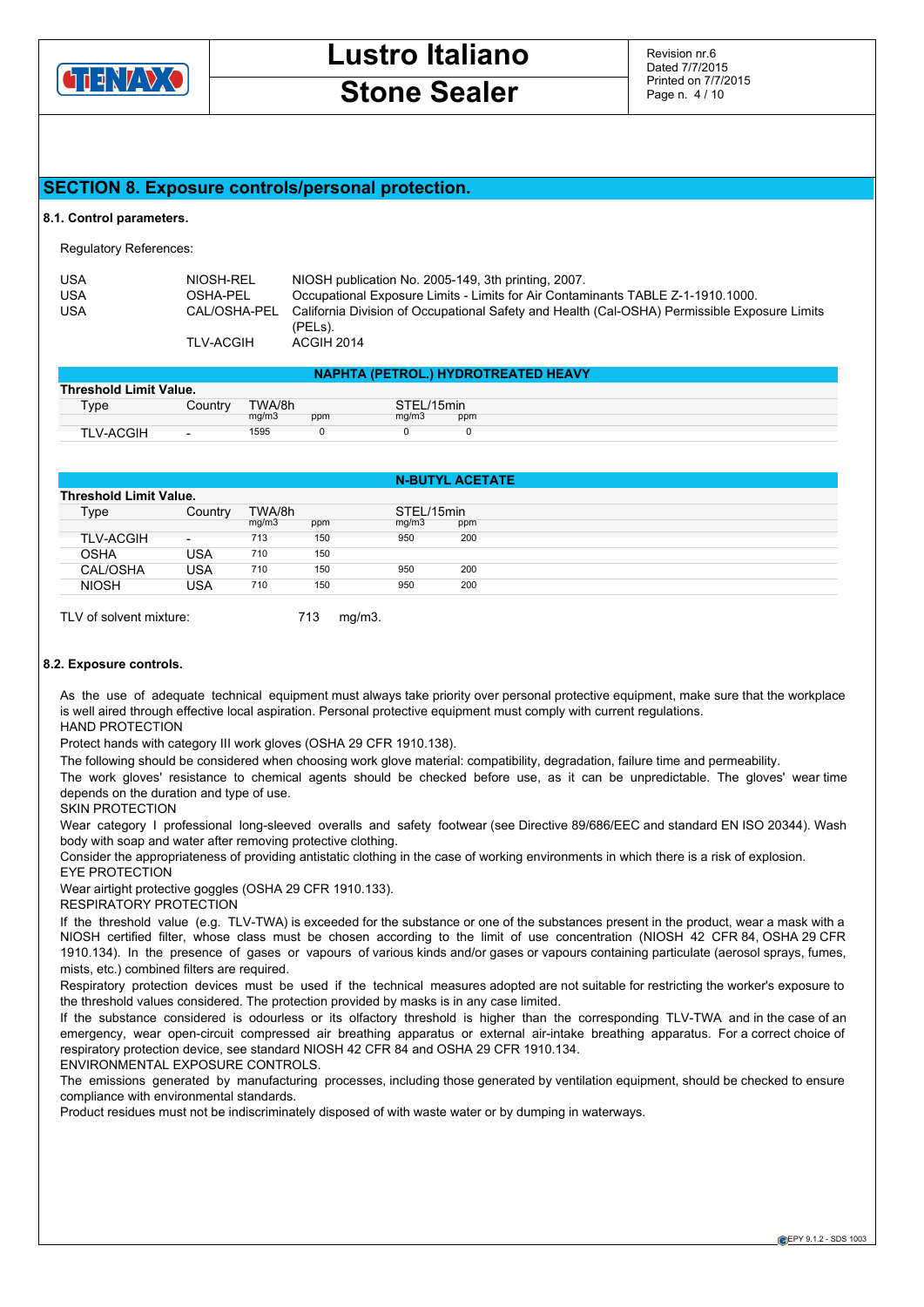

# **Stone Sealer**

Revision nr.6 Dated 7/7/2015 Printed on 7/7/2015 Page n. 4 / 10

# **SECTION 8. Exposure controls/personal protection.**

#### **8.1. Control parameters.**

Regulatory References:

| USA | NIOSH-REL        | NIOSH publication No. 2005-149, 3th printing, 2007.                                                     |
|-----|------------------|---------------------------------------------------------------------------------------------------------|
| USA | OSHA-PEL         | Occupational Exposure Limits - Limits for Air Contaminants TABLE Z-1-1910.1000.                         |
| USA | CAL/OSHA-PEL     | California Division of Occupational Safety and Health (Cal-OSHA) Permissible Exposure Limits<br>(PELs). |
|     | <b>TLV-ACGIH</b> | ACGIH 2014                                                                                              |

|                               | <b>NAPHTA (PETROL.) HYDROTREATED HEAVY</b> |        |     |            |     |  |  |  |  |
|-------------------------------|--------------------------------------------|--------|-----|------------|-----|--|--|--|--|
| <b>Threshold Limit Value.</b> |                                            |        |     |            |     |  |  |  |  |
| Type                          | Country                                    | TWA/8h |     | STEL/15min |     |  |  |  |  |
|                               |                                            | mq/m3  | ppm | ma/m3      | ppm |  |  |  |  |
| <b>TLV-ACGIH</b>              | $\overline{\phantom{0}}$                   | 1595   |     |            |     |  |  |  |  |

|                  |                               |                 |     |                     | <b>N-BUTYL ACETATE</b> |  |
|------------------|-------------------------------|-----------------|-----|---------------------|------------------------|--|
|                  | <b>Threshold Limit Value.</b> |                 |     |                     |                        |  |
| Type             | Country                       | TWA/8h<br>mq/m3 | ppm | STEL/15min<br>mq/m3 | ppm                    |  |
| <b>TLV-ACGIH</b> | $\overline{\phantom{0}}$      | 713             | 150 | 950                 | 200                    |  |
| <b>OSHA</b>      | USA                           | 710             | 150 |                     |                        |  |
| CAL/OSHA         | USA                           | 710             | 150 | 950                 | 200                    |  |
| <b>NIOSH</b>     | USA                           | 710             | 150 | 950                 | 200                    |  |

TLV of solvent mixture: 713 mg/m3.

# **8.2. Exposure controls.**

As the use of adequate technical equipment must always take priority over personal protective equipment, make sure that the workplace is well aired through effective local aspiration. Personal protective equipment must comply with current regulations. HAND PROTECTION

Protect hands with category III work gloves (OSHA 29 CFR 1910.138).

The following should be considered when choosing work glove material: compatibility, degradation, failure time and permeability.

The work gloves' resistance to chemical agents should be checked before use, as it can be unpredictable. The gloves' wear time depends on the duration and type of use.

SKIN PROTECTION

Wear category I professional long-sleeved overalls and safety footwear (see Directive 89/686/EEC and standard EN ISO 20344). Wash body with soap and water after removing protective clothing.

Consider the appropriateness of providing antistatic clothing in the case of working environments in which there is a risk of explosion. EYE PROTECTION

Wear airtight protective goggles (OSHA 29 CFR 1910.133).

RESPIRATORY PROTECTION

If the threshold value (e.g. TLV-TWA) is exceeded for the substance or one of the substances present in the product, wear a mask with a NIOSH certified filter, whose class must be chosen according to the limit of use concentration (NIOSH 42 CFR 84, OSHA 29 CFR 1910.134). In the presence of gases or vapours of various kinds and/or gases or vapours containing particulate (aerosol sprays, fumes, mists, etc.) combined filters are required.

Respiratory protection devices must be used if the technical measures adopted are not suitable for restricting the worker's exposure to the threshold values considered. The protection provided by masks is in any case limited.

If the substance considered is odourless or its olfactory threshold is higher than the corresponding TLV-TWA and in the case of an emergency, wear open-circuit compressed air breathing apparatus or external air-intake breathing apparatus. For a correct choice of respiratory protection device, see standard NIOSH 42 CFR 84 and OSHA 29 CFR 1910.134.

ENVIRONMENTAL EXPOSURE CONTROLS.

The emissions generated by manufacturing processes, including those generated by ventilation equipment, should be checked to ensure compliance with environmental standards.

Product residues must not be indiscriminately disposed of with waste water or by dumping in waterways.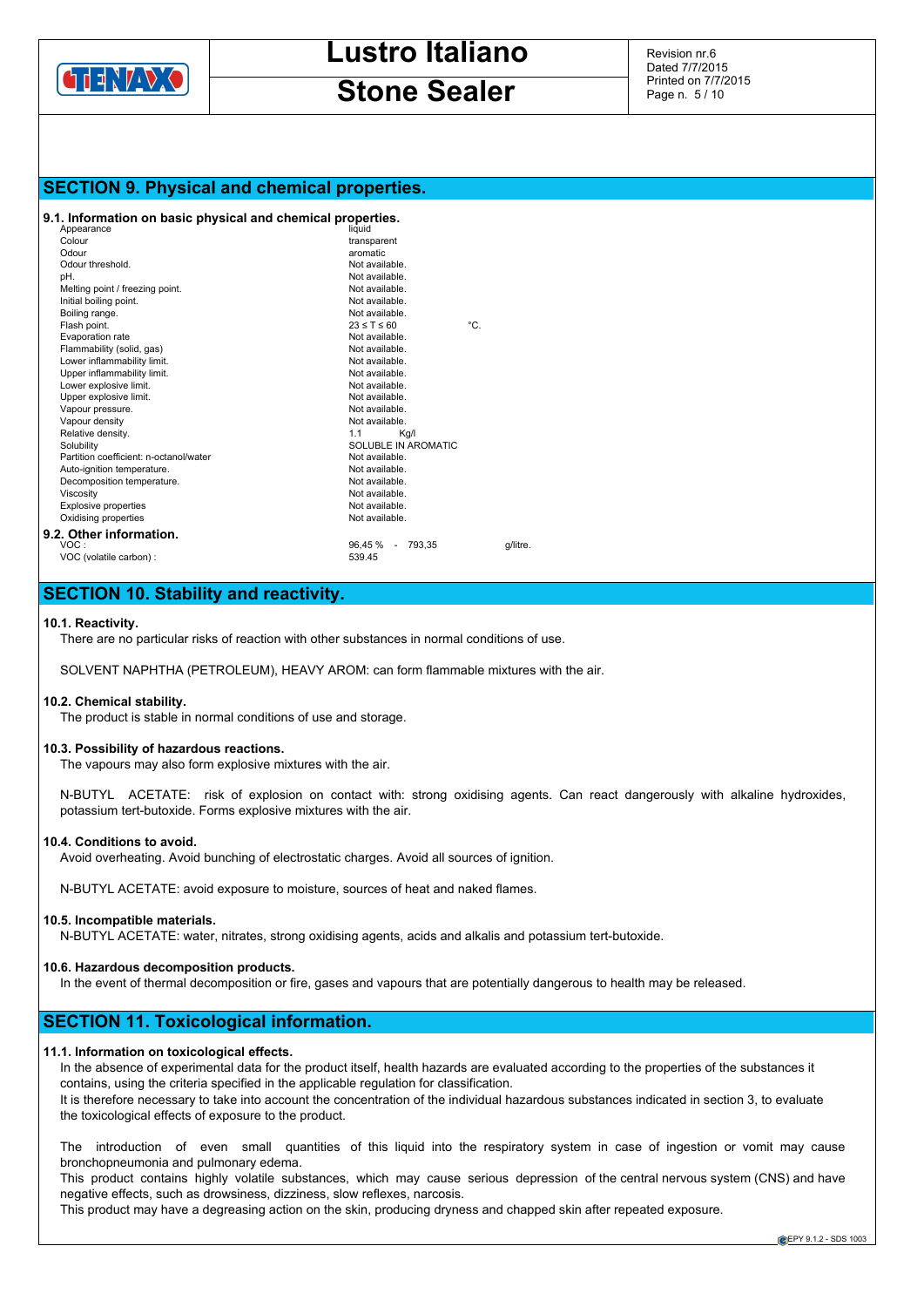

# **Stone Sealer**

Revision nr.6 Dated 7/7/2015 Printed on 7/7/2015 Page n. 5 / 10

# **SECTION 9. Physical and chemical properties.**

## **9.1. Information on basic physical and chemical properties.**

| Appearance                             | liquid              |  |                     |     |          |
|----------------------------------------|---------------------|--|---------------------|-----|----------|
| Colour                                 | transparent         |  |                     |     |          |
| Odour                                  | aromatic            |  |                     |     |          |
| Odour threshold.                       | Not available.      |  |                     |     |          |
| pH.                                    | Not available.      |  |                     |     |          |
| Melting point / freezing point.        | Not available.      |  |                     |     |          |
| Initial boiling point.                 | Not available.      |  |                     |     |          |
| Boiling range.                         | Not available.      |  |                     |     |          |
| Flash point.                           | $23 \leq T \leq 60$ |  |                     | °C. |          |
| Evaporation rate                       | Not available.      |  |                     |     |          |
| Flammability (solid, gas)              | Not available.      |  |                     |     |          |
| Lower inflammability limit.            | Not available.      |  |                     |     |          |
| Upper inflammability limit.            | Not available.      |  |                     |     |          |
| Lower explosive limit.                 | Not available.      |  |                     |     |          |
| Upper explosive limit.                 | Not available.      |  |                     |     |          |
| Vapour pressure.                       | Not available.      |  |                     |     |          |
| Vapour density                         | Not available.      |  |                     |     |          |
| Relative density.                      | 1.1                 |  | Kg/I                |     |          |
| Solubility                             |                     |  | SOLUBLE IN AROMATIC |     |          |
| Partition coefficient: n-octanol/water | Not available.      |  |                     |     |          |
| Auto-ignition temperature.             | Not available.      |  |                     |     |          |
| Decomposition temperature.             | Not available.      |  |                     |     |          |
| Viscosity                              | Not available.      |  |                     |     |          |
| <b>Explosive properties</b>            | Not available.      |  |                     |     |          |
| Oxidising properties                   | Not available.      |  |                     |     |          |
| 9.2. Other information.                |                     |  |                     |     |          |
| VOC:                                   | 96,45 % - 793,35    |  |                     |     | g/litre. |
| VOC (volatile carbon) :                | 539.45              |  |                     |     |          |
|                                        |                     |  |                     |     |          |

# **SECTION 10. Stability and reactivity.**

#### **10.1. Reactivity.**

There are no particular risks of reaction with other substances in normal conditions of use.

SOLVENT NAPHTHA (PETROLEUM), HEAVY AROM: can form flammable mixtures with the air.

#### **10.2. Chemical stability.**

The product is stable in normal conditions of use and storage.

#### **10.3. Possibility of hazardous reactions.**

The vapours may also form explosive mixtures with the air.

N-BUTYL ACETATE: risk of explosion on contact with: strong oxidising agents. Can react dangerously with alkaline hydroxides, potassium tert-butoxide. Forms explosive mixtures with the air.

#### **10.4. Conditions to avoid.**

Avoid overheating. Avoid bunching of electrostatic charges. Avoid all sources of ignition.

N-BUTYL ACETATE: avoid exposure to moisture, sources of heat and naked flames.

#### **10.5. Incompatible materials.**

N-BUTYL ACETATE: water, nitrates, strong oxidising agents, acids and alkalis and potassium tert-butoxide.

# **10.6. Hazardous decomposition products.**

In the event of thermal decomposition or fire, gases and vapours that are potentially dangerous to health may be released.

# **SECTION 11. Toxicological information.**

# **11.1. Information on toxicological effects.**

In the absence of experimental data for the product itself, health hazards are evaluated according to the properties of the substances it contains, using the criteria specified in the applicable regulation for classification.

It is therefore necessary to take into account the concentration of the individual hazardous substances indicated in section 3, to evaluate the toxicological effects of exposure to the product.

The introduction of even small quantities of this liquid into the respiratory system in case of ingestion or vomit may cause bronchopneumonia and pulmonary edema.

This product contains highly volatile substances, which may cause serious depression of the central nervous system (CNS) and have negative effects, such as drowsiness, dizziness, slow reflexes, narcosis.

This product may have a degreasing action on the skin, producing dryness and chapped skin after repeated exposure.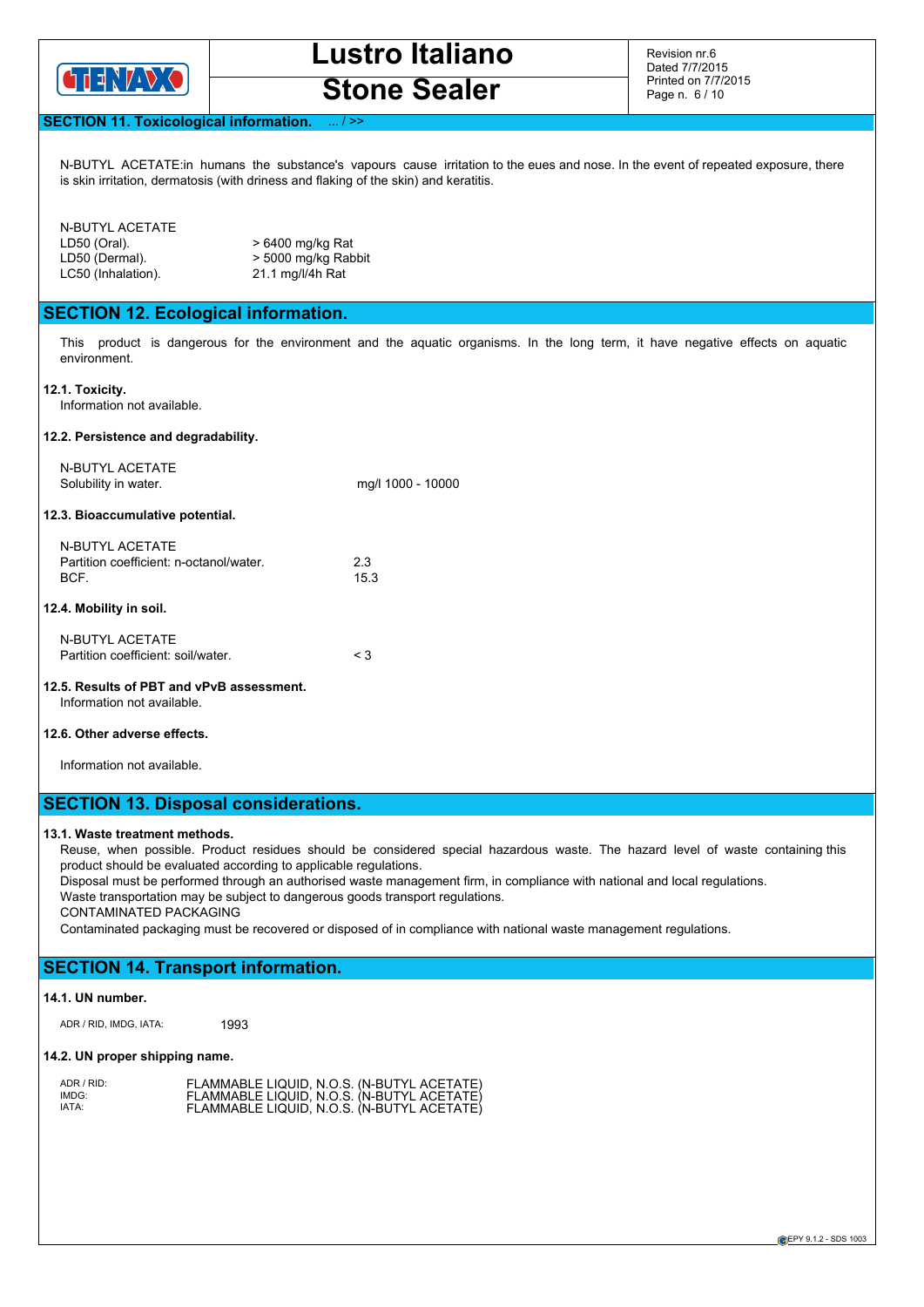

**Stone Sealer**

Revision nr.6 Dated 7/7/2015 Printed on 7/7/2015 Page n. 6 / 10

# **SECTION 11. Toxicological information**

N-BUTYL ACETATE:in humans the substance's vapours cause irritation to the eues and nose. In the event of repeated exposure, there is skin irritation, dermatosis (with driness and flaking of the skin) and keratitis.

## N-BUTYL ACETATE

| LD50 (Oral).       | > 6400 mg/kg Ra  |
|--------------------|------------------|
| LD50 (Dermal).     | > 5000 mg/kg Ra  |
| LC50 (Inhalation). | 21.1 mg/l/4h Rat |

l/kg Rat ı/kg Rabbit<br>4h Rat

# **SECTION 12. Ecological information.**

This product is dangerous for the environment and the aquatic organisms. In the long term, it have negative effects on aquatic environment.

**12.1. Toxicity.**

Information not available.

#### **12.2. Persistence and degradability.**

N-BUTYL ACETATE Solubility in water. mg/l 1000 - 10000

#### **12.3. Bioaccumulative potential.**

| N-BUTYL ACETATE                         |      |
|-----------------------------------------|------|
| Partition coefficient: n-octanol/water. | 23   |
| BCF.                                    | 15.3 |

## **12.4. Mobility in soil.**

| N-BUTYL ACETATE                    |     |
|------------------------------------|-----|
| Partition coefficient: soil/water. | < 3 |

## **12.5. Results of PBT and vPvB assessment.** Information not available.

## **12.6. Other adverse effects.**

Information not available.

# **SECTION 13. Disposal considerations.**

## **13.1. Waste treatment methods.**

Reuse, when possible. Product residues should be considered special hazardous waste. The hazard level of waste containing this product should be evaluated according to applicable regulations.

Disposal must be performed through an authorised waste management firm, in compliance with national and local regulations.

Waste transportation may be subject to dangerous goods transport regulations.

CONTAMINATED PACKAGING

Contaminated packaging must be recovered or disposed of in compliance with national waste management regulations.

# **SECTION 14. Transport information.**

## **14.1. UN number.**

ADR / RID, IMDG, IATA: 1993

# **14.2. UN proper shipping name.**

| ADR / RID: | FLAMMABLE LIQUID, N.O.S. (N-BUTYL ACETATE) |  |  |
|------------|--------------------------------------------|--|--|
| IMDG:      | FLAMMABLE LIQUID, N.O.S. (N-BUTYL ACETATE) |  |  |
| IATA:      | FLAMMABLE LIQUID, N.O.S. (N-BUTYL ACETATE) |  |  |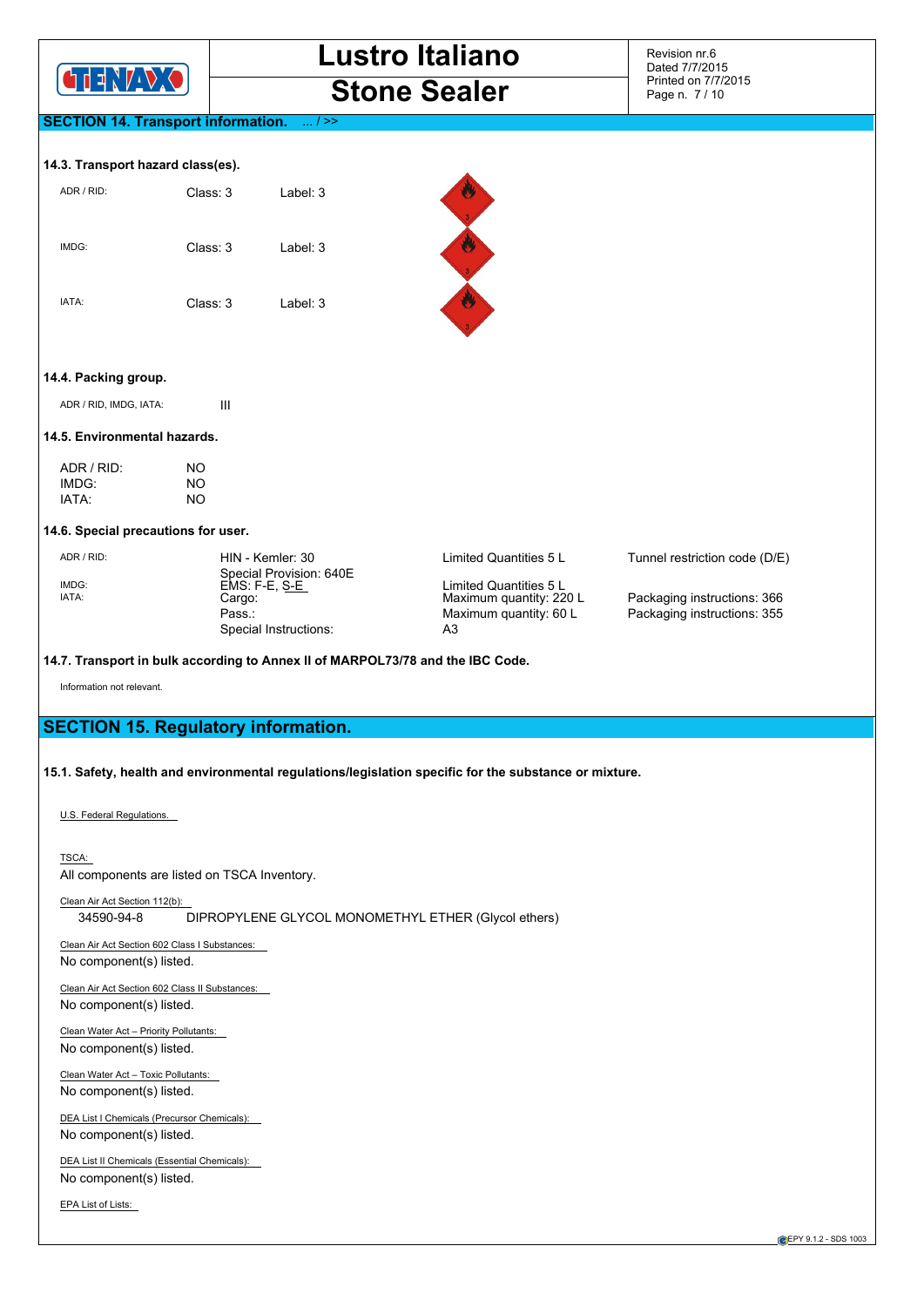

Revision nr.6 Dated 7/7/2015 Printed on 7/7/2015 Page n. 7 / 10

# **SECTION 14. Transport information.** ... / >>

#### **14.3. Transport hazard class(es).**

| ADR / RID: | Class: 3 | Label: $3$ |
|------------|----------|------------|
| IMDG:      | Class: 3 | Label: 3   |
| IATA:      | Class: 3 | Label: 3   |



## **14.4. Packing group.**

ADR / RID, IMDG, IATA: III

#### **14.5. Environmental hazards.**

| ADR/RID | NΟ |
|---------|----|
| IMDG:   | NΟ |
| IATA:   | NΟ |

#### **14.6. Special precautions for user.**

Special Provision: 640E<br>EMS: F-E, S-E IMDG:<br>
EMS: F-E, S-E<br>
Cargo: Cargo: Cargo: Maximum quantity: 220 L Pass.:  $P$ ass.:  $M = \frac{1}{25}$  Maximum quantity: 60 L Packaging instructions: 355 Special Instructions:

ADR/RID: HIN - Kemler: 30 Limited Quantities 5 L Tunnel restriction code (D/E)

Packaging instructions: 366

## **14.7. Transport in bulk according to Annex II of MARPOL73/78 and the IBC Code.**

Information not relevant.

# **SECTION 15. Regulatory information.**

## **15.1. Safety, health and environmental regulations/legislation specific for the substance or mixture.**

U.S. Federal Regulations.

TSCA: All components are listed on TSCA Inventory.

Clean Air Act Section 112(b): 34590-94-8 DIPROPYLENE GLYCOL MONOMETHYL ETHER (Glycol ethers)

Clean Air Act Section 602 Class I Substances: No component(s) listed.

Clean Air Act Section 602 Class II Substances: No component(s) listed.

Clean Water Act – Priority Pollutants: No component(s) listed.

Clean Water Act – Toxic Pollutants: No component(s) listed.

DEA List I Chemicals (Precursor Chemicals): No component(s) listed.

DEA List II Chemicals (Essential Chemicals): No component(s) listed.

EPA List of Lists: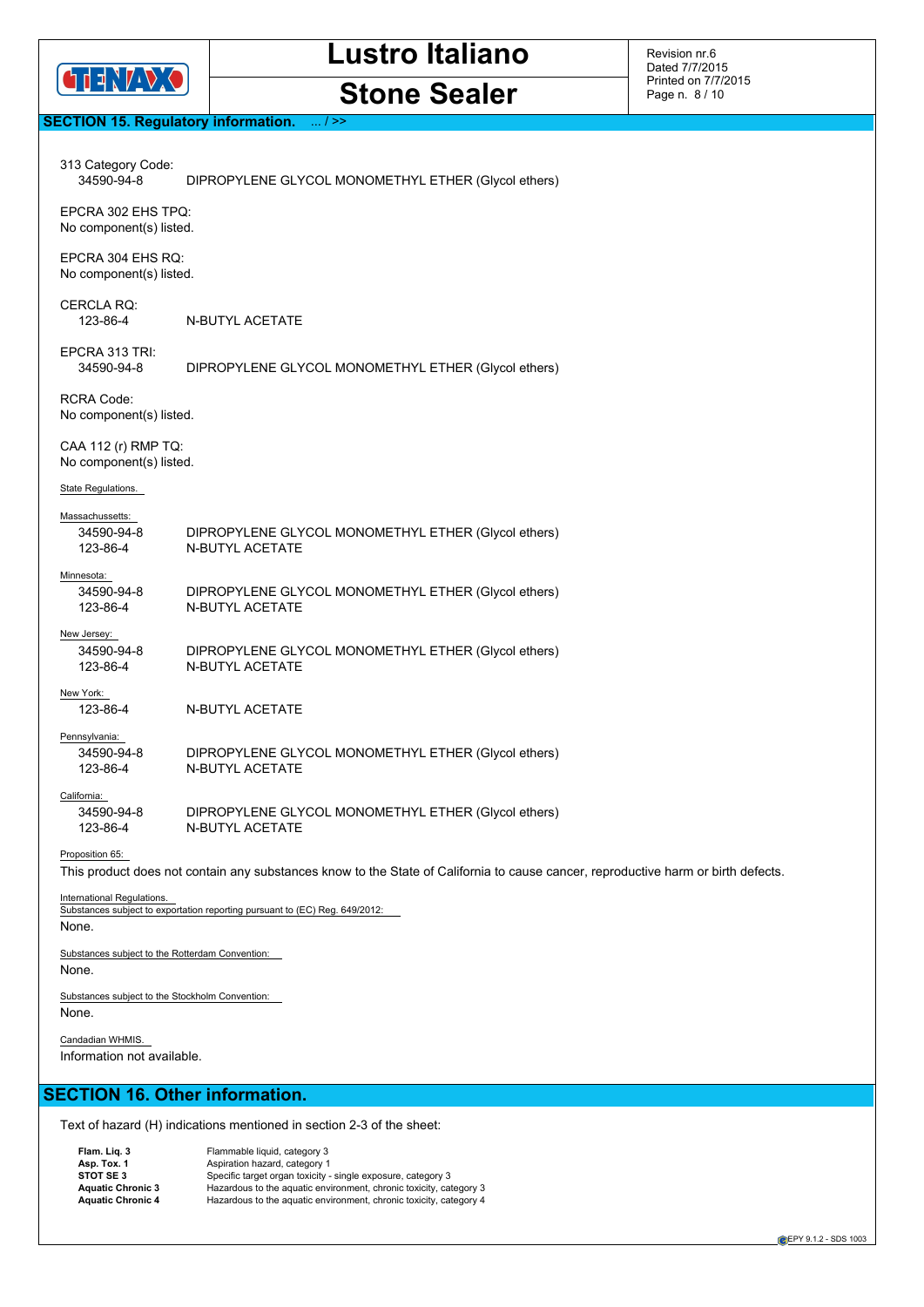

**Stone Sealer**

Revision nr.6 Dated 7/7/2015 Printed on 7/7/2015 Page n. 8 / 10

# **SECTION 15. Regulatory information.** ... / >>

| 313 Category Code:<br>34590-94-8                         | DIPROPYLENE GLYCOL MONOMETHYL ETHER (Glycol ethers)                                                                               |
|----------------------------------------------------------|-----------------------------------------------------------------------------------------------------------------------------------|
| EPCRA 302 EHS TPQ:<br>No component(s) listed.            |                                                                                                                                   |
| EPCRA 304 EHS RO:<br>No component(s) listed.             |                                                                                                                                   |
| <b>CERCLA RQ:</b><br>123-86-4                            | N-BUTYL ACETATE                                                                                                                   |
| EPCRA 313 TRI:<br>34590-94-8                             | DIPROPYLENE GLYCOL MONOMETHYL ETHER (Glycol ethers)                                                                               |
| <b>RCRA Code:</b><br>No component(s) listed.             |                                                                                                                                   |
| CAA 112 (r) RMP TQ:<br>No component(s) listed.           |                                                                                                                                   |
| State Regulations.                                       |                                                                                                                                   |
| Massachussetts:<br>34590-94-8                            | DIPROPYLENE GLYCOL MONOMETHYL ETHER (Glycol ethers)                                                                               |
| 123-86-4                                                 | <b>N-BUTYL ACETATE</b>                                                                                                            |
| Minnesota:                                               |                                                                                                                                   |
| 34590-94-8<br>123-86-4                                   | DIPROPYLENE GLYCOL MONOMETHYL ETHER (Glycol ethers)<br><b>N-BUTYL ACETATE</b>                                                     |
| New Jersey:                                              |                                                                                                                                   |
| 34590-94-8<br>123-86-4                                   | DIPROPYLENE GLYCOL MONOMETHYL ETHER (Glycol ethers)<br><b>N-BUTYL ACETATE</b>                                                     |
| New York:<br>123-86-4                                    | N-BUTYL ACETATE                                                                                                                   |
| Pennsylvania:                                            |                                                                                                                                   |
| 34590-94-8<br>123-86-4                                   | DIPROPYLENE GLYCOL MONOMETHYL ETHER (Glycol ethers)<br>N-BUTYL ACETATE                                                            |
| California:                                              |                                                                                                                                   |
| 34590-94-8<br>123-86-4                                   | DIPROPYLENE GLYCOL MONOMETHYL ETHER (Glycol ethers)<br>N-BUTYL ACETATE                                                            |
| Proposition 65:                                          |                                                                                                                                   |
|                                                          | This product does not contain any substances know to the State of California to cause cancer, reproductive harm or birth defects. |
| International Regulations.                               | Substances subject to exportation reporting pursuant to (EC) Reg. 649/2012:                                                       |
| None.                                                    |                                                                                                                                   |
| Substances subject to the Rotterdam Convention:<br>None. |                                                                                                                                   |
| Substances subject to the Stockholm Convention:<br>None. |                                                                                                                                   |
| Candadian WHMIS.<br>Information not available.           |                                                                                                                                   |
| <b>SECTION 16. Other information.</b>                    |                                                                                                                                   |
|                                                          | Text of hazard (H) indications mentioned in section 2-3 of the sheet:                                                             |
|                                                          |                                                                                                                                   |

Flammable liquid, category 3<br>
Asp. Tox. 1 (Aspiration hazard, category 1)<br>
Specific target organ toxicity - single exposure, category 3<br>
Aquatic Chronic 3 (Hazardous to the aquatic environment, chronic toxicity, category 3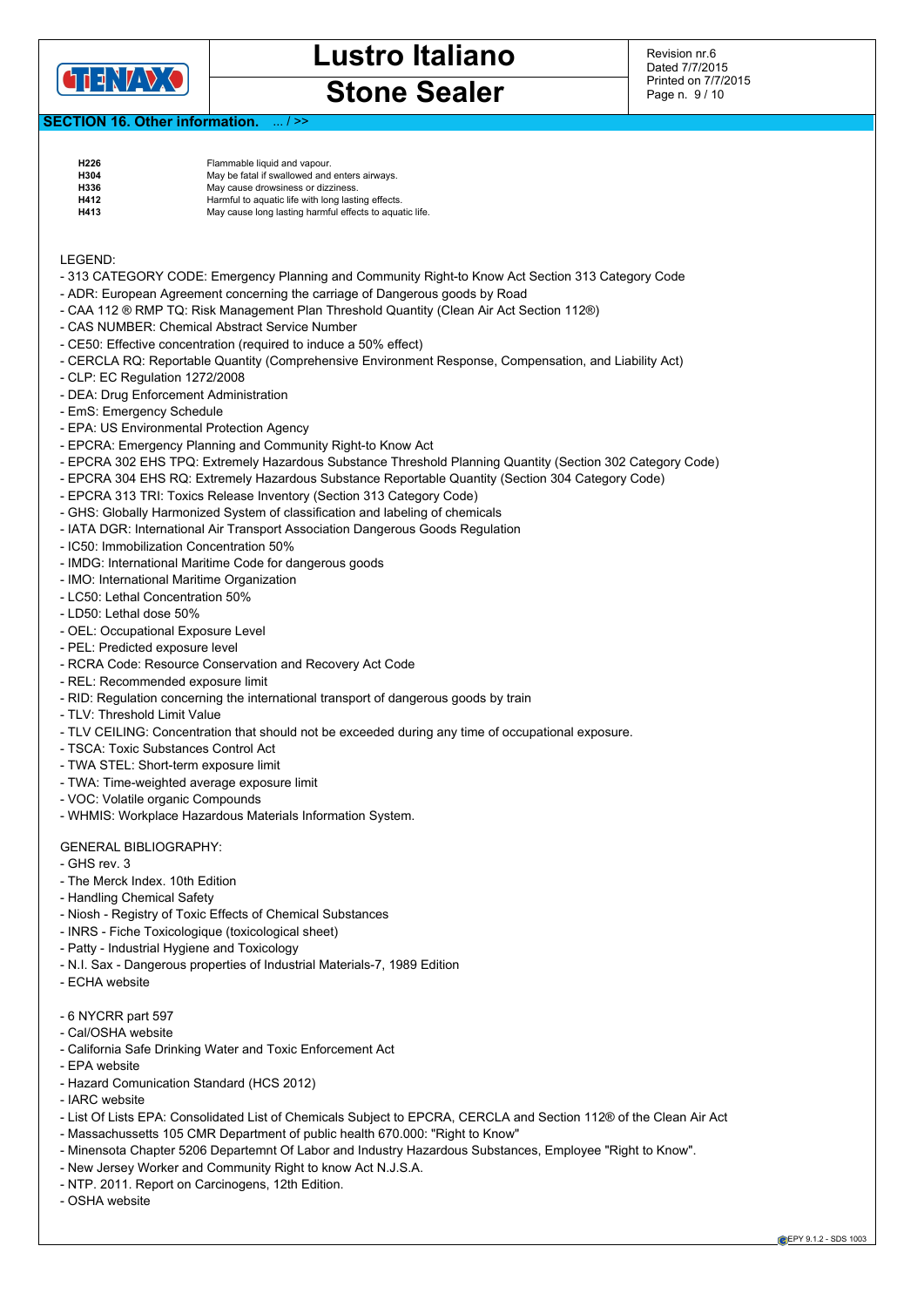

Revision nr.6 Dated 7/7/2015 Printed on 7/7/2015 Page n. 9 / 10

# **SECTION 16. Other information.**

| H <sub>226</sub> | Flammable liquid and vapour.                            |
|------------------|---------------------------------------------------------|
| H304             | May be fatal if swallowed and enters airways.           |
| H336             | May cause drowsiness or dizziness.                      |
| <b>H412</b>      | Harmful to aquatic life with long lasting effects.      |
| H413             | May cause long lasting harmful effects to aquatic life. |

LEGEND:

- 313 CATEGORY CODE: Emergency Planning and Community Right-to Know Act Section 313 Category Code
- ADR: European Agreement concerning the carriage of Dangerous goods by Road
- CAA 112 ® RMP TQ: Risk Management Plan Threshold Quantity (Clean Air Act Section 112®)
- CAS NUMBER: Chemical Abstract Service Number
- CE50: Effective concentration (required to induce a 50% effect)
- CERCLA RQ: Reportable Quantity (Comprehensive Environment Response, Compensation, and Liability Act)
- CLP: EC Regulation 1272/2008
- DEA: Drug Enforcement Administration
- EmS: Emergency Schedule
- EPA: US Environmental Protection Agency
- EPCRA: Emergency Planning and Community Right-to Know Act
- EPCRA 302 EHS TPQ: Extremely Hazardous Substance Threshold Planning Quantity (Section 302 Category Code)
- EPCRA 304 EHS RQ: Extremely Hazardous Substance Reportable Quantity (Section 304 Category Code)
- EPCRA 313 TRI: Toxics Release Inventory (Section 313 Category Code)
- GHS: Globally Harmonized System of classification and labeling of chemicals
- IATA DGR: International Air Transport Association Dangerous Goods Regulation
- IC50: Immobilization Concentration 50%
- IMDG: International Maritime Code for dangerous goods
- IMO: International Maritime Organization
- LC50: Lethal Concentration 50%
- LD50: Lethal dose 50%
- OEL: Occupational Exposure Level
- PEL: Predicted exposure level
- RCRA Code: Resource Conservation and Recovery Act Code
- REL: Recommended exposure limit
- RID: Regulation concerning the international transport of dangerous goods by train
- TLV: Threshold Limit Value
- TLV CEILING: Concentration that should not be exceeded during any time of occupational exposure.
- TSCA: Toxic Substances Control Act
- TWA STEL: Short-term exposure limit
- TWA: Time-weighted average exposure limit
- VOC: Volatile organic Compounds
- WHMIS: Workplace Hazardous Materials Information System.

#### GENERAL BIBLIOGRAPHY:

- GHS rev. 3
- The Merck Index. 10th Edition
- Handling Chemical Safety
- Niosh Registry of Toxic Effects of Chemical Substances
- INRS Fiche Toxicologique (toxicological sheet)
- Patty Industrial Hygiene and Toxicology
- N.I. Sax Dangerous properties of Industrial Materials-7, 1989 Edition
- ECHA website
- 6 NYCRR part 597
- Cal/OSHA website
- California Safe Drinking Water and Toxic Enforcement Act
- EPA website
- Hazard Comunication Standard (HCS 2012)
- IARC website
- List Of Lists EPA: Consolidated List of Chemicals Subject to EPCRA, CERCLA and Section 112® of the Clean Air Act
- Massachussetts 105 CMR Department of public health 670.000: "Right to Know"
- Minensota Chapter 5206 Departemnt Of Labor and Industry Hazardous Substances, Employee "Right to Know".
- New Jersey Worker and Community Right to know Act N.J.S.A.
- NTP. 2011. Report on Carcinogens, 12th Edition.
- OSHA website